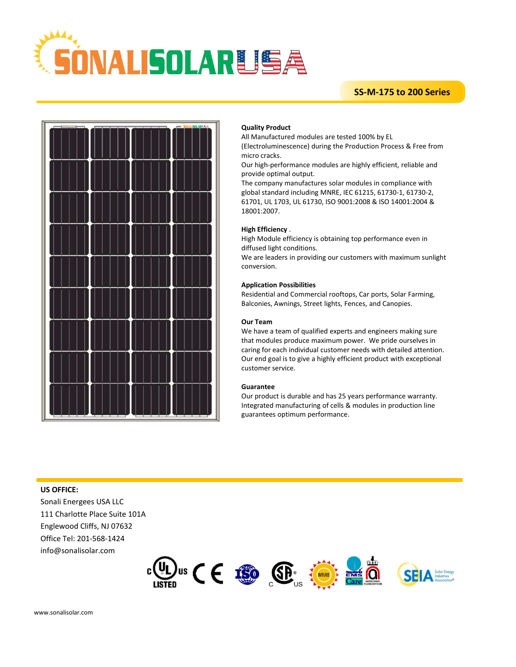

# **SS-M-175 to 200 Series**



### **Quality Product**

All Manufactured modules are tested 100% by EL

(Electroluminescence) during the Production Process & Free from micro cracks.

Our high-performance modules are highly efficient, reliable and provide optimal output.

The company manufactures solar modules in compliance with global standard including MNRE, IEC 61215, 61730-1, 61730-2, 61701, UL 1703, UL 61730, ISO 9001:2008 & ISO 14001:2004 & 18001:2007.

#### **High Efficiency** .

High Module efficiency is obtaining top performance even in diffused light conditions.

We are leaders in providing our customers with maximum sunlight conversion.

#### **Application Possibilities**

Residential and Commercial rooftops, Car ports, Solar Farming, Balconies, Awnings, Street lights, Fences, and Canopies.

#### **Our Team**

We have a team of qualified experts and engineers making sure that modules produce maximum power. We pride ourselves in caring for each individual customer needs with detailed attention. Our end goal is to give a highly efficient product with exceptional customer service.

#### **Guarantee**

Our product is durable and has 25 years performance warranty. Integrated manufacturing of cells & modules in production line guarantees optimum performance.

#### **US OFFICE:**

Sonali Energees USA LLC 111 Charlotte Place Suite 101A Englewood Cliffs, NJ 07632 Office Tel: 201-568-1424 info@sonalisolar.com